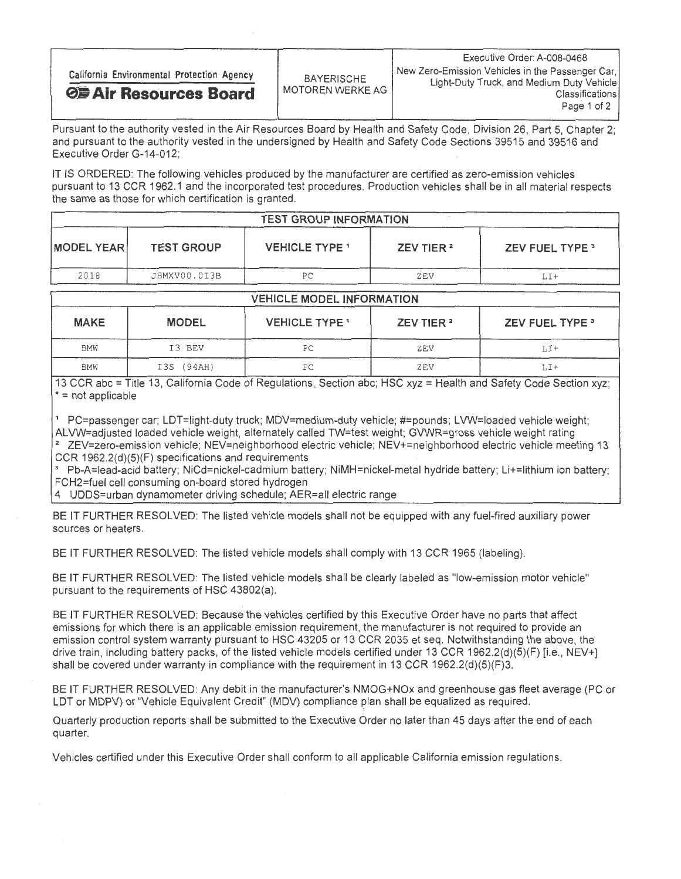Pursuant to the authority vested in the Air Resources Board by Health and Safety Code, Division 26, Part 5, Chapter 2; and pursuant to the authority vested in the undersigned by Health and Safety Code Sections 39515 and 39516 and Executive Order G-14-012;

IT IS ORDERED: The following vehicles produced by the manufacturer are certified as zero-emission vehicles pursuant to 13 CCR 1962.1 and the incorporated test procedures. Production vehicles shall be in all material respects the same as those for which certification is granted.

| <b>TEST GROUP INFORMATION</b> |                   |                       |                       |                        |  |  |
|-------------------------------|-------------------|-----------------------|-----------------------|------------------------|--|--|
| <b>MODEL YEAR</b>             | <b>TEST GROUP</b> | <b>VEHICLE TYPE 1</b> | ZEV TIER <sup>2</sup> | <b>ZEV FUEL TYPE 3</b> |  |  |
| 2018                          | JBMXV00.0I3B      | PС                    | ZEV                   | LI+                    |  |  |

| <b>VEHICLE MODEL INFORMATION</b> |              |                       |                       |                        |  |  |
|----------------------------------|--------------|-----------------------|-----------------------|------------------------|--|--|
| <b>MAKE</b>                      | <b>MODEL</b> | <b>VEHICLE TYPE 1</b> | ZEV TIER <sup>2</sup> | <b>ZEV FUEL TYPE 3</b> |  |  |
| <b>BMW</b>                       | I3 BEV       | РC                    | ZEV                   | $LI+$                  |  |  |
| <b>BMW</b>                       | I3S (94AH)   | PC                    | ZEV                   | LI+                    |  |  |

13 CCR abc = Title 13, California Code of Regulations, Section abc; HSC xyz = Health and Safety Code Section xyz; \* = not applicable

1 PC=passenger car; LDT=light-duty truck; MDV=medium-duty vehicle; #=pounds; LVW=loaded vehicle weight;<br>ALVW=adiusted loaded vehicle weight, alternately called TW=test weight; GVWR=gross vehicle weight rating ALVW=adjusted loaded vehicle weight, alternately called TW=test weight; GVWR=gross vehicle weight rating 2 ZEV=zero-emission vehicle; NEV=neighborhood electric vehicle; NEV+=neighborhood electric vehicle meeting 13

 $CCK$  1962.2(d)(5)(F) specifications and requirements 3 Pb-A=lead-acid battery; NiCd=nickel-cadmium battery; NiMH=nickel-metal hydride battery; Li+=lithium ion battery; CH2=fuel cell consuming on-board stored hydrogen

4 UDDS=urban dynamometer driving schedule; AER=all electric range

BE IT FURTHER RESOLVED: The listed vehicle models shall not be equipped with any fuel-fired auxiliary power sources or heaters.

BE IT FURTHER RESOLVED: The listed vehicle models shall comply with 13 CCR 1965 (labeling).

BE IT FURTHER RESOLVED: The listed vehicle models shall be clearly labeled as "low-emission motor vehicle" pursuant to the requirements of HSC 43802(a).

BE IT FURTHER RESOLVED: Because the vehicles certified by this Executive Order have no parts that affect emissions for which there is an applicable emission requirement, the manufacturer is not required to provide an emission control system warranty pursuant to HSC 43205 or 13 CCR 2035 et seq. Notwithstanding the above, the drive train, including battery packs, of the listed vehicle models certified under 13 CCR 1962.2(d)(5)(F) [i.e., NEV+] shall be covered under warranty in compliance with the requirement in 13 CCR 1962.2(d)(5)(F)3.

BE IT FURTHER RESOLVED: Any debit in the manufacturer's NMOG+NOx and greenhouse gas fleet average (PC or LDT or MDPV) or "Vehicle Equivalent Credit" (MDV) compliance plan shall be equalized as required.

Quarterly production reports shall be submitted to the Executive Order no later than 45 days after the end of each quarter.

Vehicles certified under this Executive Order shall conform to all applicable California emission regulations.